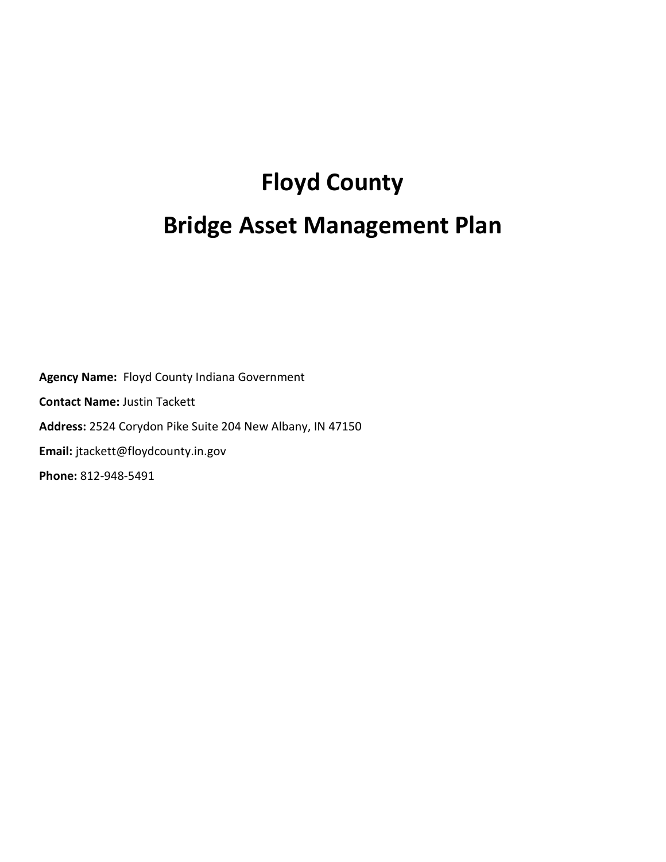## **Floyd County Bridge Asset Management Plan**

**Agency Name:** Floyd County Indiana Government **Contact Name:** Justin Tackett **Address:** 2524 Corydon Pike Suite 204 New Albany, IN 47150 **Email:** jtackett@floydcounty.in.gov **Phone:** 812-948-5491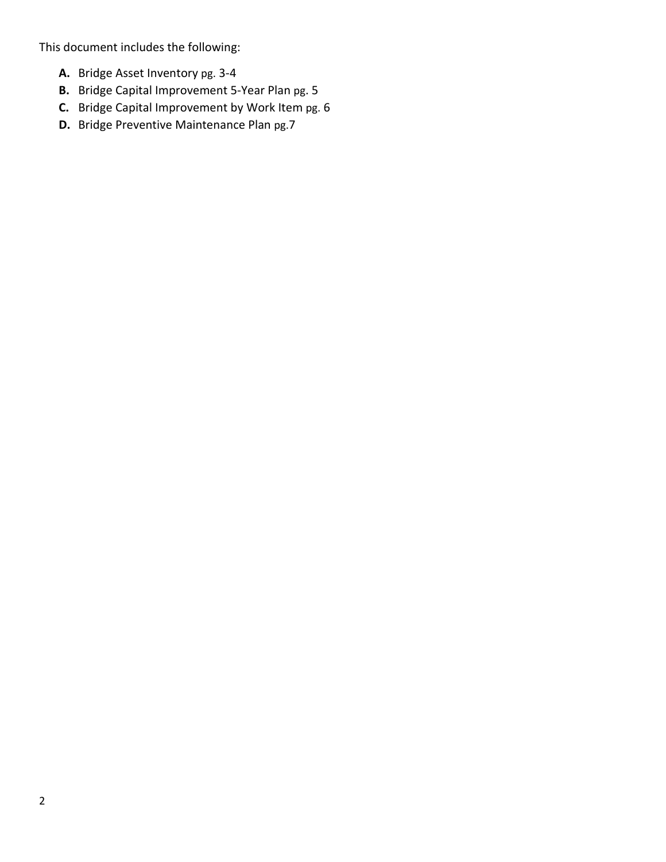This document includes the following:

- **A.** Bridge Asset Inventory pg. 3-4
- **B.** Bridge Capital Improvement 5-Year Plan pg. 5
- **C.** Bridge Capital Improvement by Work Item pg. 6
- **D.** Bridge Preventive Maintenance Plan pg.7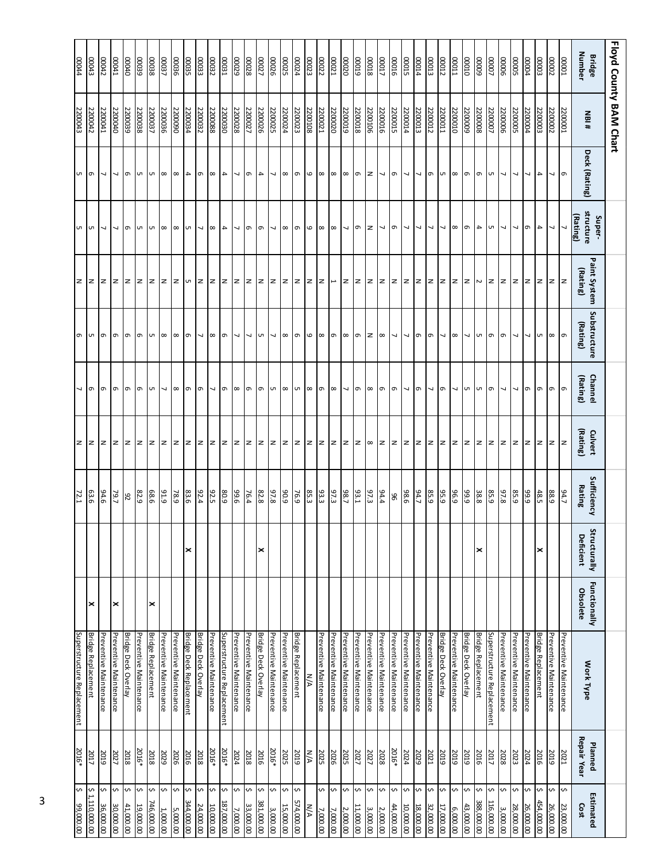|                         | Floyd County BAM Chart |                          |                                 |                              |                          |                          |                     |                       |                                  |                                 |                                |                        |                                  |
|-------------------------|------------------------|--------------------------|---------------------------------|------------------------------|--------------------------|--------------------------|---------------------|-----------------------|----------------------------------|---------------------------------|--------------------------------|------------------------|----------------------------------|
| Number<br><b>Bridge</b> | <b>NBI#</b>            | Deck (Rating)            | structure<br>(Rating)<br>Super- | Paint System<br>(Rating)     | Substructure<br>(Rating) | Channel<br>(Rating)      | (Rating)<br>Culvert | Sufficiency<br>Rating | Structurally<br><b>Deficient</b> | <b>Functionally</b><br>Obsolete | Work Type                      | Repair Year<br>Planned | Estimated<br>Cost                |
| $\frac{10000}{10000}$   | 2200001                | l ത                      |                                 | lz                           | $\sigma$                 | $\sigma$                 | $\overline{z}$      | 94.7                  |                                  |                                 | Preventive Maintenance         | 2021                   | <b>v</b><br>23,000.00            |
| 00002                   | 2200002                | $\overline{\phantom{0}}$ | $\overline{\phantom{0}}$        |                              | $\infty$                 | G                        | $\mathbf{z}$        | 88.9                  |                                  |                                 | Preventive Maintenance         | 2019                   | ¢<br>26,000.00                   |
| 00003                   | 2200003                | $\overline{\phantom{a}}$ | $\overline{4}$                  | z                            | U1                       | G                        | $\mathbf{z}$        | 48.5                  | ×                                |                                 | <b>Bridge Replacement</b>      | 2016                   | \$<br>454,000.00                 |
| 0004                    | 2200004                | ┙                        | ന                               | Iz.                          |                          | G                        | z                   | 6'66                  |                                  |                                 | Preventive Maintenance         | 2024                   | Ş<br>26,000.00                   |
| <b>00005</b>            | 2200005                | $\overline{\phantom{a}}$ | $\overline{\phantom{a}}$        |                              |                          |                          | z                   | 85.9                  |                                  |                                 | Preventive Maintenance         | 2023                   | Ş<br>28,000.00                   |
| 00006                   | 2200006                | $\overline{\phantom{0}}$ | $\overline{\phantom{a}}$        | N Z Z Z                      | G                        | ┙                        | $\geq$              | 87.8                  |                                  |                                 | Preventive Maintenance         | 2028                   | ¢<br>3,000.00                    |
| 00007                   | 2200007                | <b>UT</b>                | UT.                             |                              | $\sigma$                 | $\sigma$                 | $\overline{z}$      | 85.9                  |                                  |                                 | Superstructure Replacement     | 2017                   | \$<br>116,000.00                 |
| 8000                    | 2200008                | $\sigma$                 | $\overline{4}$                  |                              | lч                       | Uл                       | lz.                 | 38.8                  | ∣×                               |                                 | <b>Bridge Replacement</b>      | 2016                   | ŀ∿<br>388,000.00                 |
| $\overline{0000}$       | 2200009                | l๑                       | ഗ                               |                              | $\overline{\phantom{0}}$ | G                        | $\vert z \vert$     | 99.9                  |                                  |                                 | <b>Bridge Deck Overlay</b>     | 2019                   | Ş<br>43,000.00                   |
| TD000                   | 2200010                | $\infty$                 | $\infty$                        | z z z z                      | $\infty$                 | 7                        | $\mathbf{z}$        | <b>96.9</b>           |                                  |                                 | Preventive Maintenance         | 2019                   | \$<br>6,000.00                   |
| 00012                   | 2200011                | <b>UT</b>                | 7                               |                              | 7                        | ത                        |                     | 95.9                  |                                  |                                 | <b>Bridge Deck Overlay</b>     | 2019                   | \$<br>17,000.00                  |
| 00013                   | 2200012                | $\sigma$                 | $\overline{\phantom{0}}$        |                              | l๑                       | $\overline{\phantom{a}}$ | z z                 | 85.9                  |                                  |                                 | Preventive Maintenance         | 2021                   | ŀ∿<br>32,000.00                  |
| <b>bTOOO</b>            | 2200013                | $\overline{ }$           | $\overline{\phantom{a}}$        |                              | G                        | G                        | z                   | 94.7                  |                                  |                                 | Preventive Maintenance         | 2029                   | ¢<br>18,000.00                   |
| 00015                   | 2200014                | $\overline{ }$           | $\overline{a}$                  | z  z  z  z  z  z  z          | L                        | ┙                        | $\overline{z}$      | 98.6                  |                                  |                                 | Preventive Maintenance         | 2024                   | \$<br>10,000.00                  |
| <b>00016</b>            | 2200015                | $\sigma$                 | $\sigma$                        |                              | $\overline{\phantom{0}}$ | $\sigma$                 | Iz.                 | 96                    |                                  |                                 | <b>Preventive Maintenance</b>  | 2016*                  | ¢<br>44,000.00                   |
| 00017                   | 2200016                | $\overline{\phantom{a}}$ | $\overline{\phantom{0}}$        |                              | l ∞                      | ത                        |                     | $\frac{94.4}{ }$      |                                  |                                 | Preventive Maintenance         | 2028                   | Ş<br>2,000.00                    |
| 00018                   | 2200106                | z                        | $\mathbf{z}$                    |                              | $\mathbf{z}$             | $\infty$                 | $ z  \otimes  z $   | 97.3                  |                                  |                                 | Preventive Maintenance         | 2027                   | \$<br>3,000.00                   |
| 61000                   | 2200018                | $\sigma$                 | G                               |                              | G                        | G                        |                     | 93.1                  |                                  |                                 | Preventive Maintenance         | 2027                   | s<br>11,000.00                   |
| 00020                   | 2200019                | $\infty$                 | $\overline{\phantom{0}}$        |                              | $\infty$                 | $\overline{\phantom{0}}$ | $\vert z \vert$     | 98.7                  |                                  |                                 | Preventive Maintenance         | 2025                   | ŀ∿<br>2,000.00                   |
| 00021                   | 2200020                | $\infty$                 | $\infty$                        | $\overline{\phantom{a}}$     | e                        | $\infty$                 | $\mathbf{z}$        | 97.3                  |                                  |                                 | Preventive Maintenance         | 2026                   | S<br>7,000.00                    |
| 00022                   | 2200021                | $\infty$                 | $\infty$                        |                              | $\infty$                 | $\sigma$                 | $\mathbf{z}$        | 93.3                  |                                  |                                 | Preventive Maintenance         | 2025                   | S<br>7,000.00                    |
| 00023                   | 2200108                | $\circ$                  | $\circ$                         |                              | $\omega$                 | $\infty$                 | z                   | 85.3                  |                                  |                                 | <b>N/A</b>                     | N/A                    | $\frac{M}{A}$                    |
| 00024                   | 2200023                |                          | $\sigma$                        | z  z  z  z  z  z             | l๑                       | lсп                      |                     | 76.9                  |                                  |                                 | <b>Bridge Replacement</b>      | 2019                   | l∿<br>574,000.00                 |
| 00025                   | 2200024                | $\infty$   $\infty$      | $\sim$ $\infty$                 |                              | $\infty$                 | $\infty$                 |                     | 90.9                  |                                  |                                 | <b>Preventive Maintenance</b>  | 2025                   | ¢<br>15,000.00                   |
| 00026                   | 2200025                | 7                        |                                 |                              | L                        | C                        | z z z z             | 97.8                  |                                  |                                 | Preventive Maintenance         | 2016*                  | Ş<br>3,000.00                    |
| 00027                   | 2200026                | $\overline{4}$           | $\sigma$                        |                              | lсп                      | l๑                       |                     | 82.8                  | ✕                                |                                 | <b>Bridge Deck Overlay</b>     | 2016                   | ŀ∿<br>381,000.00                 |
| 00028                   | 2200027                | $\sigma$                 | e                               |                              | $\overline{\phantom{0}}$ | e                        | $\mathbf{z}$        | 76.4                  |                                  |                                 | Preventive Maintenance         | 2018                   | S<br>33,000.00                   |
| 00029                   | 2200028                | J                        | J                               |                              | L                        | $\infty$                 | $\overline{z}$      | 9.66                  |                                  |                                 | Preventive Maintenance         | 2024                   | ¢<br>7,000.00                    |
| <b>CCOO31</b>           | 2200030                | $\overline{4}$           | $\overline{4}$                  |                              | $\sigma$                 | $\sigma$                 | z                   | 80.9                  |                                  |                                 | Superstructure Replacement     | 2016*                  | $\sim$<br>187,000.00             |
| 00032                   | 2200088                | $\infty$                 | l ∞                             |                              | l ∞                      | $\overline{\phantom{a}}$ | lz.                 | 92.5                  |                                  |                                 | Preventive Maintenance         | 2016*                  | Ş<br>10,000.00                   |
| 00033                   | 2200032                | $\sigma$                 | $\overline{\phantom{0}}$        |                              | 7                        | G                        | $\overline{z}$      | 92.4                  |                                  |                                 | <b>Bridge Deck Overlay</b>     | 2018                   | S<br>24,000.00                   |
| 00035                   | 2200034                | $\left  \right $         | l un                            |                              | $\sigma$                 | $\sigma$                 |                     | 83.6                  | ×                                |                                 | <b>Bridge Deck Replacement</b> | 2016                   | $\mathbf{\hat{v}}$<br>344,000.00 |
| 00036                   | 2200090                | $\infty$                 | $\infty$                        |                              | $\infty$                 | $\infty$                 | z z                 | 78.9                  |                                  |                                 | Preventive Maintenance         | 2026                   | ₩<br>5,000.00                    |
| 00037                   | 2200036                | ∣∞                       |                                 | z  z  z  z  v  z  z  z  z  z | l ∞                      | 7                        | lz.                 | 91.9                  |                                  |                                 | Preventive Maintenance         | 2029                   | Ş<br>1,000.00                    |
| 00038                   | 2200037                | lч                       | ഗ∣ ∞                            |                              | <b>UT</b>                | <b>u</b>                 | $\mathbf{z}$        | 68.6                  |                                  | $\boldsymbol{\times}$           | <b>Bridge Replacement</b>      | 2018                   | Ş<br>746,000.00                  |
| 00039                   | 2200038                | l UT                     | lч                              |                              | ത                        | ത                        | $\vert z \vert$     | 82.9                  |                                  |                                 | Preventive Maintenance         | 2016*                  | \$<br>19,000.00                  |
| $\overline{0000}$       | 2200039                | l ത                      | ഗ                               |                              | ത                        | ഗ                        | $\mathsf{z}$        | 82                    |                                  |                                 | <b>Bridge Deck Overlay</b>     | 2018                   | ₩<br>41,000.00                   |
| <b>DOO41</b>            | 2200040                | $\overline{\phantom{0}}$ | $\overline{\phantom{a}}$        | z z z                        | $\sigma$                 | $\sigma$                 | $\mathbf{z}$        | 79.7                  |                                  | ×                               | Preventive Maintenance         | 2027                   | ¢<br>30,000.00                   |
| 00042                   | 2200041                | J                        | L                               |                              | G                        | $\sigma$                 | z                   | 94.6                  |                                  |                                 | Preventive Maintenance         | 2019                   | S<br>36,000.00                   |
| <b>CDOOO</b>            | 2200042                | l๑                       | lсп                             | lz.                          | lсп                      | $\sigma$                 | z                   | 63.6                  |                                  | ×                               | <b>Bridge Replacement</b>      | 2017                   | <b>v</b><br>1,110,000.00         |
| 00044                   | 2200043                | lсп                      | lсп                             | z                            | ത                        |                          | z                   | $\frac{72.1}{2}$      |                                  |                                 | Superstructure Replacement     | 2016*                  | ₩<br>00'000'66                   |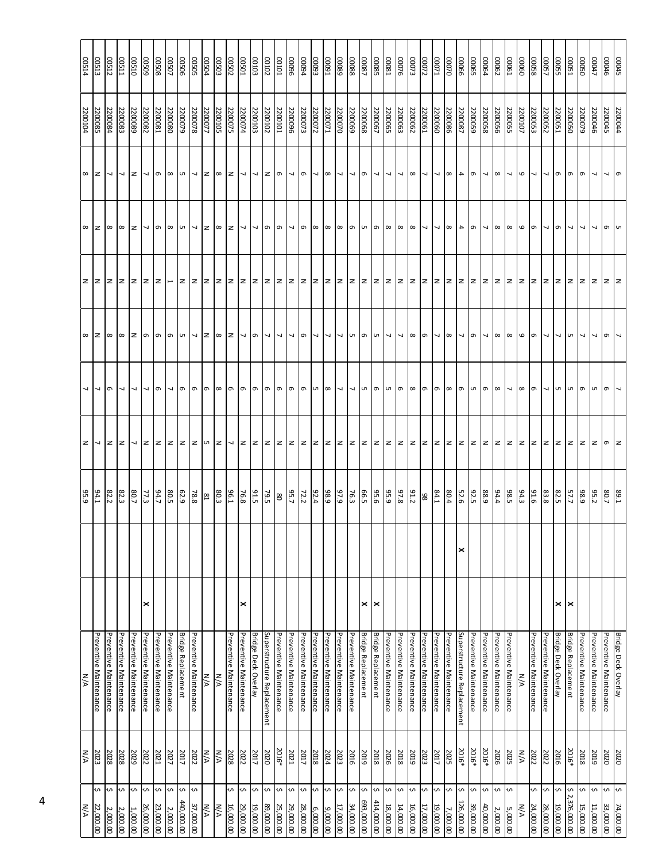| 00514             | 00513                    | 00512                  | <b>US11</b>            | 00510                  | 60500                    | 00508                  | <b>LOSOO</b>             | 90500                     | SO <sub>500</sub>        | <b>DO504</b>                       | <b>COSOO</b> | 00502                  | $\frac{10000}{\pi}$      | 00103                           | 00102                      | 00101                  | <b>9600</b>              | <b>DOO94</b>           | <b>66000</b>             | $\frac{16000}{2000}$   | 68000                    | 88000                  | 00087                      | <b>C8000</b>              | 18000                    | 00076                    | 00073                  | 00072                    | <b>DOO71</b>             | 02000                  | <b>00066</b>               | <b>G9000</b>           | 00064                    | 00062                  | 00061                    | 09000             | 85000                  | 00057                    | <b>SSOOD</b>               | 00051                      | <b>SSO</b>             | 00047                    | 00045                  |                            |
|-------------------|--------------------------|------------------------|------------------------|------------------------|--------------------------|------------------------|--------------------------|---------------------------|--------------------------|------------------------------------|--------------|------------------------|--------------------------|---------------------------------|----------------------------|------------------------|--------------------------|------------------------|--------------------------|------------------------|--------------------------|------------------------|----------------------------|---------------------------|--------------------------|--------------------------|------------------------|--------------------------|--------------------------|------------------------|----------------------------|------------------------|--------------------------|------------------------|--------------------------|-------------------|------------------------|--------------------------|----------------------------|----------------------------|------------------------|--------------------------|------------------------|----------------------------|
| 2200104           | 2200085                  | 2200084                | 2200083                | 2200089                | 2200082                  | 2200081                | 2200080                  | 2200079                   | 2200078                  | 2200077                            | 2200105      | 2200075                | 2200074                  | 2200103                         | 2200102                    | <b>2200101</b>         | 2200096                  | 2200073                | 2200072                  | 2200071                | 2200070                  | 2200069                | 2200068                    | 2200067                   | 2200065                  | 2200063                  | 2200062                | 2200061                  | 2200060                  | 2200086                | 2200087                    | 2200059                | 2200058                  | 2200056                | 2200055                  | 2200107           | 2200053                | 2200052                  | 2200051                    | 2200050                    | 2200079                | 2200046                  | 2200044<br>2200045     |                            |
| $\infty$ $\infty$ |                          | ┙                      | $\overline{ }$         | z                      | $\overline{\phantom{0}}$ | $\sigma$               | $\infty$                 | lсп                       | $\overline{\phantom{a}}$ |                                    | $\infty$     | 1z                     | $\overline{ }$           | $\overline{\phantom{0}}$        | $2 \n\sigma$               |                        | $\overline{\phantom{0}}$ | $\sigma$               | 7                        | l œ                    | $\overline{\phantom{0}}$ | √  თ                   |                            | ┙                         | J                        | $\overline{\phantom{0}}$ | $\infty$               | $\overline{\phantom{0}}$ | $\overline{\phantom{0}}$ | $\infty$               | 4                          | G                      | $\overline{\phantom{0}}$ | l co                   | $\overline{\phantom{0}}$ | $\mathbf \omega$  | J                      | $\overline{\phantom{0}}$ |                            | $\sigma$ $\sigma$ $\sigma$ |                        | $\overline{\phantom{0}}$ | $\sim$ 0               |                            |
| $\infty$ $\infty$ |                          | l ∞                    | $\infty$               | z                      | $\sim$ 0                 |                        | $\infty$                 |                           | $\sqrt{2}$               |                                    | $\infty$     | <u>Iz</u>              | $\overline{\phantom{a}}$ | $\sim$ 0 $\sigma$               |                            |                        | $\overline{\phantom{0}}$ | $\sigma$               | $\infty$                 | $\infty$               | $\infty$                 |                        | $\sigma$ $\sigma$ $\sigma$ |                           | $\infty$                 | $\infty$                 | $\infty$               | $\overline{ }$           | $\overline{\phantom{a}}$ | $\infty$               | $\overline{4}$             | G                      | $\overline{ }$           | $\infty$               | $\infty$                 | დი                |                        | $\overline{ }$           | $\sigma$                   | $\sim$ $\sim$              |                        | $\overline{\phantom{0}}$ | o u                    |                            |
| $z \,   z$        |                          | z z                    |                        | $\mathbf{z}$           | Iz Iz                    |                        | $\overline{\phantom{a}}$ |                           | z z z                    |                                    |              |                        | z z z z z z z            |                                 |                            |                        |                          | z z z                  |                          |                        |                          |                        | z z z z                    |                           |                          |                          |                        |                          |                          |                        |                            |                        |                          |                        |                          |                   |                        |                          |                            | z  z  z  z                 |                        |                          | z z                    |                            |
| $\infty$          | $\overline{z}$           | $\infty$               | $\infty$               | z                      | $\sigma$                 | $\sqrt{2}$             | $\sigma$                 | Uп                        | $ v $ $ z $              |                                    | $\infty$     | Iz.                    |                          | $\sigma$                        | $\sqrt{2}$                 |                        |                          | $\sigma$               | $\overline{\phantom{0}}$ |                        |                          | <b>UT</b>              | l๑                         | I сп                      | $\overline{\phantom{0}}$ |                          | $\infty$               | $\sigma$                 | $\overline{\phantom{a}}$ | $\infty$               |                            | G                      |                          | l ∞                    | $\infty$                 | $\mathbf{\Theta}$ | $\sigma$               |                          |                            | $\sim$ $\sim$              |                        |                          | $\sigma$               |                            |
|                   |                          | $\sigma$               |                        |                        |                          | $\sigma$               |                          | $\sigma$                  | ഗ                        | e                                  | $\infty$     | б,                     | e                        | $\sigma$                        | G                          | e                      | $\sigma$                 | G                      | G                        | $\infty$               | J                        | J                      | lсп                        | ഗ                         | C                        | G                        | ∣∞                     | G                        | G                        | $\infty$               | $\sigma$                   | G                      | $\sigma$                 | $\infty$               |                          | $\infty$          | $\sigma$               |                          | UЛ                         | <b>UT</b>                  | Г                      |                          | e                      |                            |
| $\mathbf{z}$      | $\overline{\phantom{a}}$ | $\mathsf{z}$           | $\mathbf{z}$           | J                      | Iz.                      | $\overline{z}$         | $\mathbf{z}$             | $\mathsf{z}$              | $ z $ or                 |                                    | lz           | $\overline{ }$         | z                        | $z \mid z \mid z$               |                            |                        | $\mathsf{z}$             | z z                    |                          | z                      | $\overline{z}$           | z z                    |                            | z                         | $\mathbf{z}$             | $\mathbf{z}$             | Iz.                    | $\overline{z}$           | $\mathbf{z}$             | $\vert z \vert$        | $\overline{z}$             | $\mathbf{z}$           | lz.                      | z                      | z                        | $\overline{z}$    | $\overline{z}$         | lz.                      |                            | z z z                      |                        | $\mathsf{z}$             | $\circ$ z              |                            |
| 95.9              | 94.1                     | 82.2                   | 82.3                   | 80.7                   | 77.3                     | 94.7                   | 80.5                     | 62.9                      | 78.8                     | $\ensuremath{\mathrm{g}}\xspace_1$ | 80.3         | 96.1                   | 76.8                     | 91.5                            | 79.5                       | 8                      | 95.7                     | 72.2                   | 92.4                     | $\frac{98.9}{ }$       | 97.9                     | 76.3                   | 66.5                       | 95.6                      | 95.9                     | 97.8                     | 91.2                   | 86                       | 84.1                     | 80.4                   | 52.6                       | 92.5                   | 88.9                     | 94.4                   | 98.5                     | 94.3              | 9.1.6                  | 83.8                     | 82.5                       | 57.7                       | 98.9                   | 95.2                     | 80.7                   | £'68                       |
|                   |                          |                        |                        |                        |                          |                        |                          |                           |                          |                                    |              |                        |                          |                                 |                            |                        |                          |                        |                          |                        |                          |                        |                            |                           |                          |                          |                        |                          |                          |                        | ✕                          |                        |                          |                        |                          |                   |                        |                          |                            |                            |                        |                          |                        |                            |
|                   |                          |                        |                        |                        | ×                        |                        |                          |                           |                          |                                    |              |                        | ×                        |                                 |                            |                        |                          |                        |                          |                        |                          |                        | ×                          | ≍                         |                          |                          |                        |                          |                          |                        |                            |                        |                          |                        |                          |                   |                        |                          | ×                          | $\boldsymbol{\times}$      |                        |                          |                        |                            |
| N/A               | Preventive Maintenance   | Preventive Maintenance | Preventive Maintenance | Preventive Maintenance | Preventive Maintenance   | Preventive Maintenance | Preventive Maintenance   | <b>Bridge Replacement</b> | Preventive Maintenance   | N/A                                | N/A          | Preventive Maintenance | Preventive Maintenance   | <b>Bridge Deck Overlay</b>      | Superstructure Replacement | Preventive Maintenance | Preventive Maintenance   | Preventive Maintenance | Preventive Maintenance   | Preventive Maintenance | Preventive Maintenance   | Preventive Maintenance | <b>Bridge Replacement</b>  | <b>Bridge Replacement</b> | Preventive Maintenance   | Preventive Maintenance   | Preventive Maintenance | Preventive Maintenance   | Preventive Maintenance   | Preventive Maintenance | Superstructure Replacement | Preventive Maintenance | Preventive Maintenance   | Preventive Maintenance | Preventive Maintenance   | N/A               | Preventive Maintenance | Preventive Maintenance   | <b>Bridge Deck Overlay</b> | <b>Bridge Replacement</b>  | Preventive Maintenance | Preventive Maintenance   | Preventive Maintenance | <b>Bridge Deck Overlay</b> |
| N/A               | 2023                     | 2028                   | 2028                   | 2029                   | 2022                     | 2021                   | 2027                     | 2017                      | 2022                     | M/A                                | N/A          | 2028                   | 2022                     | 2017                            | 2020                       | 2016*                  | 2021                     | 2017                   | 2018                     | 2024                   | 2023                     | 2016                   | 2019                       | 2018                      | 2026                     | 2018                     | 2019                   | 2023                     | 2017                     | 2025                   | 2016*                      | 2016*                  | 2016*                    | 2026                   | 2025                     | N/A               | 2022                   | 2022                     | 2016                       | 2016*                      | 2018                   | 2019                     | 2020                   | 2020                       |
| N/A               | S<br>22,000.00           | <b>v</b><br>2,000.00   | ¢<br>2,000.00          | Ş<br>1,000.00          | ¢<br>26,000.00           | \$<br>23,000.00        | S<br>2,000.00            | S<br>440,000.00           | s.<br>37,000.00          | <b>N/A</b>                         | N/A          | \$<br>16,000.00        | <b>v</b><br>29,000.00    | $\mathbf{\hat{v}}$<br>19,000.00 | S<br>89,000.00             | ∿⊦<br>25,000.00        | $\sim$<br>29,000.00      | ¢<br>28,000.00         | ¢<br>6,000.00            | s.<br>9,000.00         | Ş<br>17,000.00           | Ş<br>34,000.00         | n.<br>693,000.00           | <b>S</b><br>414,000.00    | s<br>18,000.00           | ¢<br>14,000.00           | <b>S</b><br>16,000.00  | ¢<br>17,000.00           | ¢<br>19,000.00           | S<br>7,000.00          | \$<br>126,000.00           | Ş<br>39,000.00         | S<br>40,000.00           | \$<br>2,000.00         | ∽<br>5,000.00            | N/A               | S<br>24,000.00         | s.<br>28,000.00          | Ş<br>19,000.00             | ¢<br>Ņ<br>376,000.00       | \$<br>15,000.00        | k۸.<br>11,000.00         | S<br>33,000.00         | Ş<br>74,000.00             |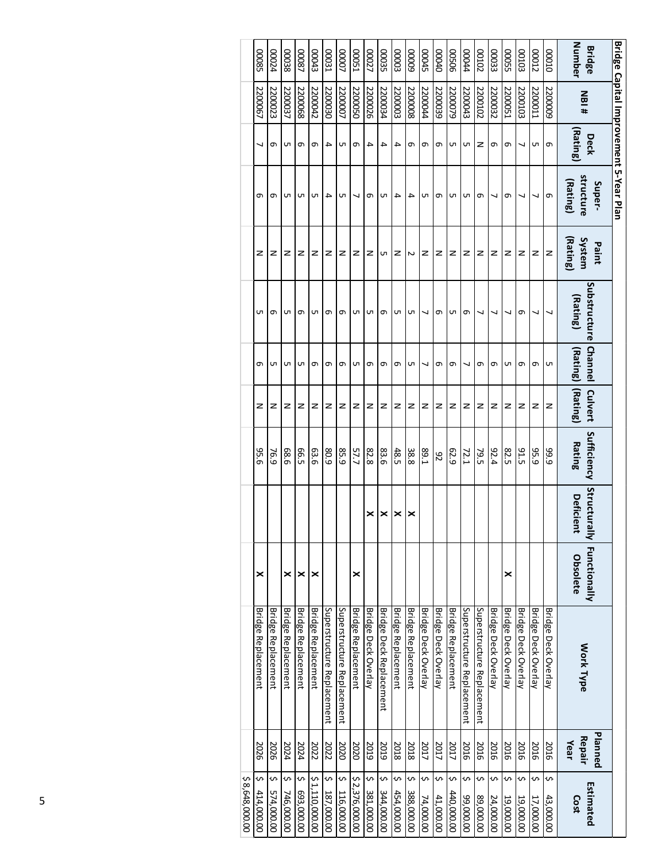| Bridge Capital Improvement 5-Year Plan | Number<br><b>Bridge</b><br><b>NBI#</b><br>(Rating)<br>Deck<br>structure<br>(Rating)<br>Super- | 00000<br>5200009<br>Φ<br>G | <b>CLOOD</b><br>2200011<br>C<br>┙ | <b>SOTOO</b><br>2200103<br>↘<br>↘ | <b>GSOOD</b><br>2200051<br>თ<br>თ |                     | <b>CEOOO</b><br>2200032<br>თ<br>↘ | 20100<br>2200102<br>z<br>თ | <b>bDO04</b><br>2200043<br>UП<br>UП | 90500<br>2200079<br>UП<br>UП | 00000<br>2200039<br>ᡡ<br>ᡡ | <b>CDOCE</b><br>1200044<br>თ<br>UП | 60000<br>2200008<br>თ<br>4 | 80000<br>2200003<br>4<br>4 | 00035<br>2200034<br>4<br>UП | LZ000<br>2200026<br>4<br>თ | <b>LSOOO</b><br>2200050<br>თ<br>↘ | <b>LOOOO</b><br>2200007<br>UП<br>UП | <b>LEOOO</b><br>2200030<br>4<br>4 | Ctr000<br>2200042<br>ᡡ<br>UП | <b>78000</b><br>2200068<br>თ<br>UП | 86000<br>2200037<br>cл<br>UП | <b>bZ000</b><br>2200023<br>ᡡ<br>თ |
|----------------------------------------|-----------------------------------------------------------------------------------------------|----------------------------|-----------------------------------|-----------------------------------|-----------------------------------|---------------------|-----------------------------------|----------------------------|-------------------------------------|------------------------------|----------------------------|------------------------------------|----------------------------|----------------------------|-----------------------------|----------------------------|-----------------------------------|-------------------------------------|-----------------------------------|------------------------------|------------------------------------|------------------------------|-----------------------------------|
|                                        | [Rating]<br>System<br>Paint<br>Substructure<br>(Rating)                                       | z<br>┙                     | z                                 | z<br>თ                            | z<br>┙                            |                     | z                                 | z                          | z<br>თ                              | z<br>UП                      | z<br>ᡡ                     | z<br>↘                             | Z<br>UП                    | z<br>UП                    | UП<br>თ                     | z<br>UП                    | z<br>UП                           | z<br>თ                              | z<br>თ                            | z<br>UП                      | z<br>თ                             | z<br>UП                      | z<br>თ                            |
|                                        | <b>Channel</b><br>(Rating)<br>(Rating)<br>Culvert                                             | UП<br>z                    | თ<br>z                            | ᡡ<br>z                            | UП<br>z                           | თ<br>z              | თ<br>z                            | ↘<br>z                     |                                     | ᡡ<br>z                       | თ<br>z                     | ↘<br>z                             | UП<br>z                    | ᡡ<br>z                     | თ<br>z                      | თ<br>z                     | UП<br>z                           | თ<br>z                              | თ<br>z                            | თ<br>z                       | UП<br>z                            | UП<br>z                      | UП<br>z                           |
|                                        | Sufficiency<br><b>Rating</b>                                                                  | 99.9                       | 95.9                              | 31 <sup>-5</sup>                  | 82.5                              | 92.4                | 79.5                              | 72.1                       |                                     | 62.9                         | 82                         | E-68                               | 38.8                       | 48.5                       | 83.6                        | 82.8                       | 57.7                              | 85.9                                | 80.9                              | 63.6                         | <b>66.5</b>                        | 68.6                         | 76.9                              |
|                                        | Structurally Functionally<br><b>Deficient</b>                                                 |                            |                                   |                                   |                                   |                     |                                   |                            |                                     |                              |                            |                                    | ×                          | ×                          | ×                           | ×                          |                                   |                                     |                                   |                              |                                    |                              |                                   |
|                                        | Obsolete                                                                                      |                            |                                   |                                   | ×                                 |                     |                                   |                            |                                     |                              |                            |                                    |                            |                            |                             |                            | ×                                 |                                     |                                   | ×                            | ×                                  | ×                            |                                   |
|                                        | Work Type                                                                                     | Bridge Deck Overlay        | Bridge Deck Overlay               | Bridge Deck Overlay               | Bridge Deck Overlay               | Bridge Deck Overlay | Superstructure Replacement        | Superstructure Replacement |                                     | Bridge Replacement           | Bridge Deck Overlay        | Bridge Deck Overlay                | Bridge Replacement         | <b>Bridge Replacement</b>  | Bridge Deck Replacement     | <b>Bridge Deck Overlay</b> | Bridge Replacement                | Superstructure Replacement          | Superstructure Replacement        | <b>Bridge Replacement</b>    | Bridge Replacement                 | Bridge Replacement           | <b>Bridge Replacement</b>         |
|                                        | Planned<br>Repair<br>Year                                                                     | 2016                       | 2016                              | 2016                              | 2016                              | 2016                | 2016                              |                            | 2016                                | 2017                         | 2017                       | 2017                               | 2018                       | 2018                       | 2019                        | 2019                       | 2020                              | 2020                                | 2022                              | 2022                         | 2024                               | 2024                         | 2026                              |
|                                        | Estimated<br>Cost                                                                             | S<br>43,000.00             | S<br>17,000.00                    | Ş<br>19,000.00                    | S<br>19,000.00                    | S<br>24,000.00      | S<br>89,000.00                    | S<br>00'000'66             | S<br>440,000.00                     |                              | \$<br>41,000.00            | \$<br>74,000.00                    | \$<br>388,000.00           | S<br>454,000.00            | Ş<br>344,000.00             | S<br>381,000.00            | \$2,376,000.00                    | Ş<br>116,000.00                     | \$<br>187,000.00                  | \$1,110,000.00               | Ş<br>693,000.00                    | S<br>746,000.00              | S<br>574,000.00                   |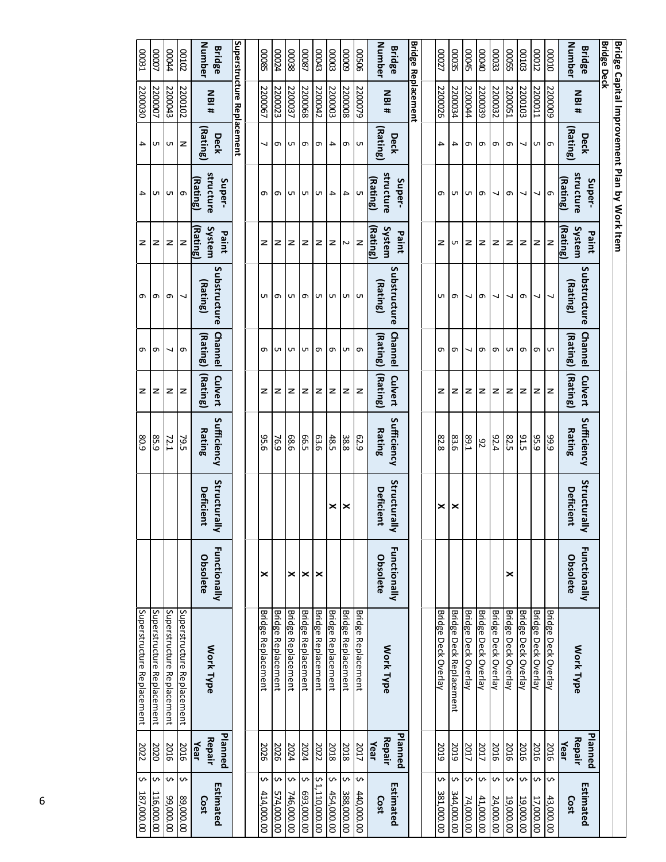| \$<br>187,000.00       | 2022           | Superstructure Replacement |                     |                  | 80.9             | z        | G        | თ            | z                  | 4                                            | 4         | 2200030                    | 00031              |
|------------------------|----------------|----------------------------|---------------------|------------------|------------------|----------|----------|--------------|--------------------|----------------------------------------------|-----------|----------------------------|--------------------|
| \$<br>116,000.00       | 2020           | Superstructure Replacement |                     |                  | 85.9             | z        | G        | G            | z                  | C                                            | C         | 2200007                    | LOOOO              |
| \$<br>00'000'66        | 2016           | Superstructure Replacement |                     |                  | 72.1             | z        | ┙        | G            | z                  | $\cup$ 0                                     | lсп       | 2200043                    | <b>b</b> b000      |
| Ş<br>89,000.00         | 2016           | Superstructure Replacement |                     |                  | 79.5             | z        | $\sigma$ | ┙            | $\mathbf{z}$       |                                              | 1z        | 2200102                    | 20100              |
| Cost                   | Repair<br>Year | Work Type                  | Obsolete            | <b>Deficient</b> | <b>Rating</b>    | (Rating) | (Rating) | (Rating)     | System<br>Rating)  | structure<br>Rating)                         | (Rating)  | <b>NBI#</b>                | Number             |
| Estimated              | Planned        |                            | Functionally        | Structural<br>⋜  | Sufficiency      | Culvert  | Channel  | Substructure | Paint              | Super-                                       | Deck      |                            | <b>Bridge</b>      |
|                        |                |                            |                     |                  |                  |          |          |              |                    |                                              |           | Superstructure Replacement |                    |
|                        |                |                            |                     |                  |                  |          |          |              |                    |                                              |           |                            |                    |
| ∽<br>414,000.00        | 2026           | Bridge Replacement         | ×                   |                  | 95.6             | z        | ᡡ        | UП           | z                  | თ                                            | ┙         | 2200067                    | <b>COOS5</b>       |
| Ş<br>574,000.00        | 2026           | Bridge Replacement         |                     |                  | 76.9             | z        | UЛ       | G            | z                  | ന                                            | $\sigma$  | 2200023                    | 00024              |
| Ş<br>746,000.00        | 2024           | Bridge Replacement         | ×                   |                  | 88.6             | z        | UП       | UТ           | z                  | UП                                           | UТ        | 2200037                    | 00038              |
| s<br>693,000.00        | 2024           | <b>Bridge Replacement</b>  | ×                   |                  | 66.5             | z        | Uп       | G            | z                  | Uп                                           | $\sigma$  | 2200068                    | 18000              |
| ∽<br>1,110,000.00      | 2022           | Bridge Replacement         | ×                   |                  | 63.6             | z        | G        | UТ           | z                  | UП                                           | G         | 2200042                    | Eb000              |
| ᠊ᡐ<br>454,000.00       | 2018           | Bridge Replacement         |                     | ×                | 48.5             | z        | G        | Uп I         | z                  | $\overline{\phantom{a}}$                     | 4         | 2200003                    | <b>EOOOO</b>       |
| ¢<br>388,000.00        | 2018           | Bridge Replacement         |                     | ∣×               | $\frac{38.8}{8}$ | z        | UП       | U            | $\sim$             | 4                                            | $\sigma$  | 2200008                    | 60000              |
| Ş<br>440,000.00        | 2017           | Bridge Replacement         |                     |                  | 62.9             | z        | $\sigma$ |              | $\mathbf{z}$       | UП                                           | <b>UT</b> | 2200079                    | 90500              |
| Cost                   | Repair<br>Year | Work Type                  | Obsolete            | <b>Deficient</b> | Rating           | (Rating) | (Rating) | (Rating)     | System<br>(Rating) | structure<br>(Rating)                        | Rating    | <b>NBI#</b>                | Number             |
| Estimated              | <b>Planned</b> |                            | Functionally        | Structural<br>⋜  | Sufficiency      | Culvert  | Channel  | Substructure | Paint              | Super-                                       | Deck      |                            | <b>Bridge</b>      |
|                        |                |                            |                     |                  |                  |          |          |              |                    |                                              |           | Bridge Replacement         |                    |
|                        |                |                            |                     |                  |                  |          |          |              |                    |                                              |           |                            |                    |
| Ş<br>381,000.00        | 2019           | Bridge Deck Overlay        |                     | ×                | 82.8             | z        | თ        | UП           | z                  | თ                                            | 4         | 2200026                    | 00027              |
| <b>S</b><br>344,000.00 | 2019           | Bridge Deck Replacement    |                     | ×                | 83.6             | z        | თ        | თ            | UП                 | UП                                           | 4         | 2200034                    | 00035              |
| s<br>74,000.00         | 2017           | <b>Bridge Deck Overlay</b> |                     |                  | 1.68             | z        | ↘        | ┙            | z                  | UП                                           | G         | 2200044                    | <b>CDO45</b>       |
| \$<br>41,000.00        | 2017           | Bridge Deck Overlay        |                     |                  | 26               | z        | G        | თ            | z                  | ത                                            | $\sigma$  | 2200039                    | 00040              |
| ∽<br>24,000.00         | 2016           | Bridge Deck Overlay        |                     |                  | 92.4             | z        | G        | ↘            | z                  | ↘                                            | $\sigma$  | 2200032                    | 00033              |
| ᠊ᡐ<br>19,000.00        | 2016           | <b>Bridge Deck Overlay</b> | ×                   |                  | 82.5             | z        | G        | ┙            | z                  | $\sigma$                                     | ത         | 2200051                    | <b>COOS5</b>       |
| ↜<br>19,000.00         | 2016           | Bridge Deck Overlay        |                     |                  | 91.5             | z        | G        | G            | z                  | ┙                                            | ┙         | 2200103                    | <b>SOTOO</b>       |
| ∽<br>17,000.00         | 2016           | Bridge Deck Overlay        |                     |                  | 95.9             | z        | $\sigma$ | ┙            | z                  | ┙                                            | lсп       | 2200011                    | CI000              |
| Ş<br>43,000.00         | 2016           | Bridge Deck Overlay        |                     |                  | 99.9             | z        | G        | ┙            | $\mathbf{z}$       | lo                                           | $\sigma$  | 5200009                    | 00010              |
| Cost                   | Repair<br>Year | Work Type                  | Obsolete            | <b>Deficient</b> | Rating           | (Rating) | (Rating) | (Rating)     | System<br>(Rating) | structure<br>Rating)                         | (Rating)  | <b>NBI#</b>                | <b>Number</b>      |
| Estimated              | Planned        |                            | <b>Functionally</b> | Structural<br>⋜  | Sufficiency      | Culvert  | Channel  | Substructure | Paint              | Super-                                       | Deck      |                            | <b>Bridge</b>      |
|                        |                |                            |                     |                  |                  |          |          |              |                    |                                              |           |                            | <b>Bridge Deck</b> |
|                        |                |                            |                     |                  |                  |          |          |              |                    | Bridge Capital Improvement Plan by Work Item |           |                            |                    |